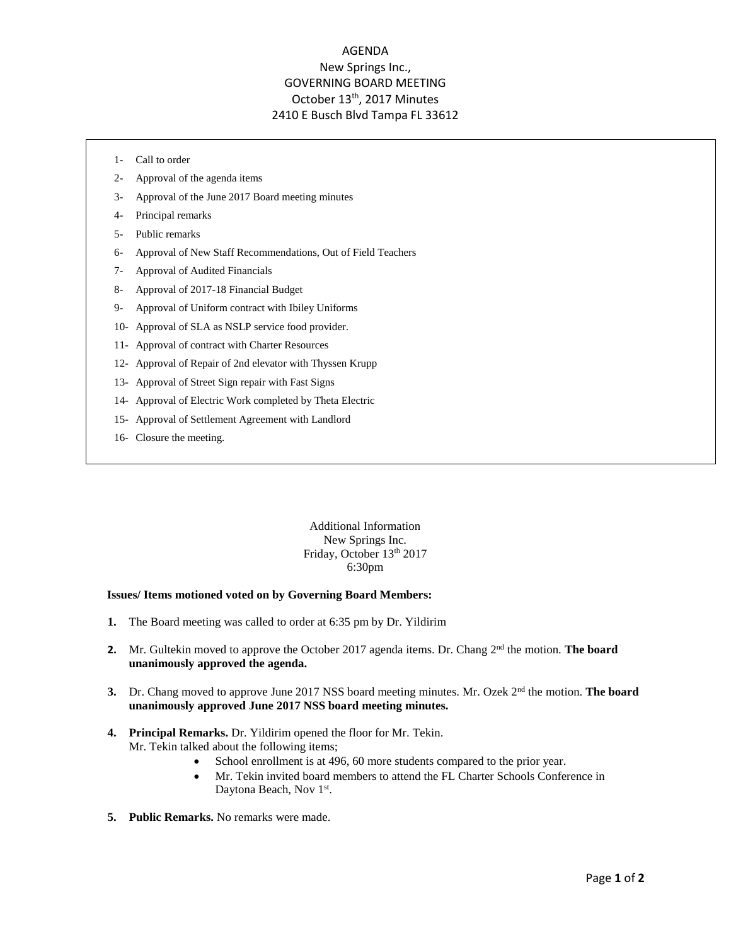## AGENDA New Springs Inc., GOVERNING BOARD MEETING October 13<sup>th</sup>, 2017 Minutes 2410 E Busch Blvd Tampa FL 33612

- 1- Call to order
- 2- Approval of the agenda items
- 3- Approval of the June 2017 Board meeting minutes
- 4- Principal remarks
- 5- Public remarks
- 6- Approval of New Staff Recommendations, Out of Field Teachers
- 7- Approval of Audited Financials
- 8- Approval of 2017-18 Financial Budget
- 9- Approval of Uniform contract with Ibiley Uniforms
- 10- Approval of SLA as NSLP service food provider.
- 11- Approval of contract with Charter Resources
- 12- Approval of Repair of 2nd elevator with Thyssen Krupp
- 13- Approval of Street Sign repair with Fast Signs
- 14- Approval of Electric Work completed by Theta Electric
- 15- Approval of Settlement Agreement with Landlord
- 16- Closure the meeting.

Additional Information New Springs Inc. Friday, October 13th 2017 6:30pm

## **Issues/ Items motioned voted on by Governing Board Members:**

- **1.** The Board meeting was called to order at 6:35 pm by Dr. Yildirim
- 2. Mr. Gultekin moved to approve the October 2017 agenda items. Dr. Chang 2<sup>nd</sup> the motion. **The board unanimously approved the agenda.**
- **3.** Dr. Chang moved to approve June 2017 NSS board meeting minutes. Mr. Ozek 2<sup>nd</sup> the motion. **The board unanimously approved June 2017 NSS board meeting minutes.**
- **4. Principal Remarks.** Dr. Yildirim opened the floor for Mr. Tekin. Mr. Tekin talked about the following items;
	- School enrollment is at 496, 60 more students compared to the prior year.
	- Mr. Tekin invited board members to attend the FL Charter Schools Conference in Daytona Beach, Nov 1st.
- **5. Public Remarks.** No remarks were made.